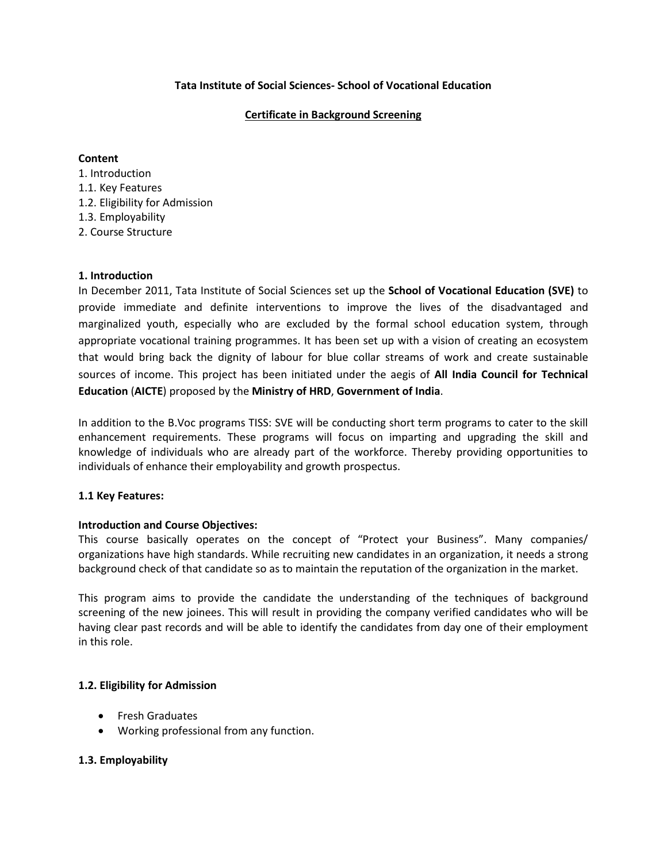### **Tata Institute of Social Sciences- School of Vocational Education**

# **Certificate in Background Screening**

### **Content**

1. Introduction 1.1. Key Features 1.2. Eligibility for Admission 1.3. Employability 2. Course Structure

### **1. Introduction**

In December 2011, Tata Institute of Social Sciences set up the **School of Vocational Education (SVE)** to provide immediate and definite interventions to improve the lives of the disadvantaged and marginalized youth, especially who are excluded by the formal school education system, through appropriate vocational training programmes. It has been set up with a vision of creating an ecosystem that would bring back the dignity of labour for blue collar streams of work and create sustainable sources of income. This project has been initiated under the aegis of **All India Council for Technical Education** (**AICTE**) proposed by the **Ministry of HRD**, **Government of India**.

In addition to the B.Voc programs TISS: SVE will be conducting short term programs to cater to the skill enhancement requirements. These programs will focus on imparting and upgrading the skill and knowledge of individuals who are already part of the workforce. Thereby providing opportunities to individuals of enhance their employability and growth prospectus.

### **1.1 Key Features:**

### **Introduction and Course Objectives:**

This course basically operates on the concept of "Protect your Business". Many companies/ organizations have high standards. While recruiting new candidates in an organization, it needs a strong background check of that candidate so as to maintain the reputation of the organization in the market.

This program aims to provide the candidate the understanding of the techniques of background screening of the new joinees. This will result in providing the company verified candidates who will be having clear past records and will be able to identify the candidates from day one of their employment in this role.

### **1.2. Eligibility for Admission**

- **•** Fresh Graduates
- Working professional from any function.

# **1.3. Employability**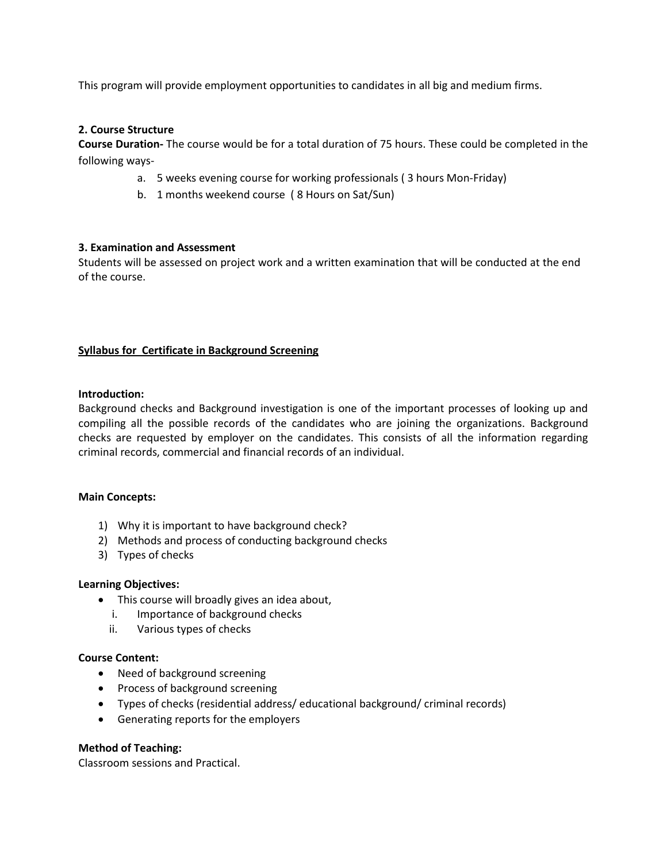This program will provide employment opportunities to candidates in all big and medium firms.

### **2. Course Structure**

**Course Duration-** The course would be for a total duration of 75 hours. These could be completed in the following ways-

- a. 5 weeks evening course for working professionals ( 3 hours Mon-Friday)
- b. 1 months weekend course ( 8 Hours on Sat/Sun)

# **3. Examination and Assessment**

Students will be assessed on project work and a written examination that will be conducted at the end of the course.

# **Syllabus for Certificate in Background Screening**

### **Introduction:**

Background checks and Background investigation is one of the important processes of looking up and compiling all the possible records of the candidates who are joining the organizations. Background checks are requested by employer on the candidates. This consists of all the information regarding criminal records, commercial and financial records of an individual.

### **Main Concepts:**

- 1) Why it is important to have background check?
- 2) Methods and process of conducting background checks
- 3) Types of checks

### **Learning Objectives:**

- This course will broadly gives an idea about,
	- i. Importance of background checks
	- ii. Various types of checks

### **Course Content:**

- Need of background screening
- Process of background screening
- Types of checks (residential address/ educational background/ criminal records)
- Generating reports for the employers

### **Method of Teaching:**

Classroom sessions and Practical.